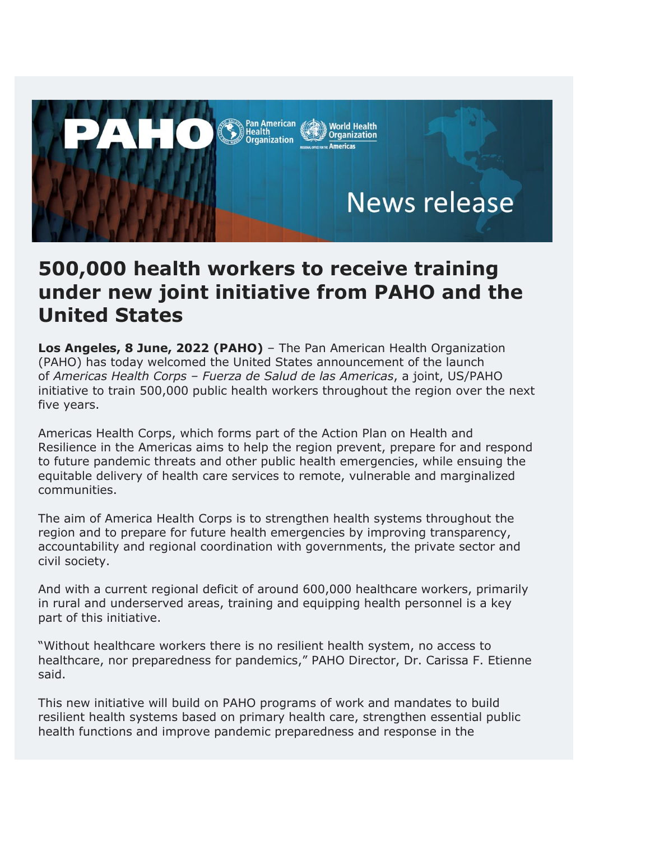

## **500,000 health workers to receive training under new joint initiative from PAHO and the United States**

**Los Angeles, 8 June, 2022 (PAHO)** – The Pan American Health Organization (PAHO) has today welcomed the United States announcement of the launch of *Americas Health Corps – Fuerza de Salud de las Americas*, a joint, US/PAHO initiative to train 500,000 public health workers throughout the region over the next five years.

Americas Health Corps, which forms part of the Action Plan on Health and Resilience in the Americas aims to help the region prevent, prepare for and respond to future pandemic threats and other public health emergencies, while ensuing the equitable delivery of health care services to remote, vulnerable and marginalized communities.

The aim of America Health Corps is to strengthen health systems throughout the region and to prepare for future health emergencies by improving transparency, accountability and regional coordination with governments, the private sector and civil society.

And with a current regional deficit of around 600,000 healthcare workers, primarily in rural and underserved areas, training and equipping health personnel is a key part of this initiative.

"Without healthcare workers there is no resilient health system, no access to healthcare, nor preparedness for pandemics," PAHO Director, Dr. Carissa F. Etienne said.

This new initiative will build on PAHO programs of work and mandates to build resilient health systems based on primary health care, strengthen essential public health functions and improve pandemic preparedness and response in the